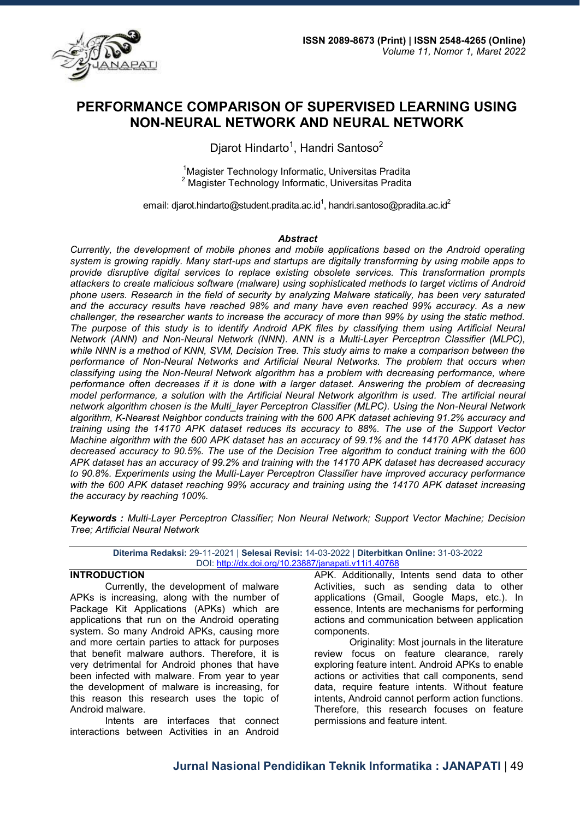

# **PERFORMANCE COMPARISON OF SUPERVISED LEARNING USING NON-NEURAL NETWORK AND NEURAL NETWORK**

Djarot Hindarto $^1$ , Handri Santoso $^2$ 

<sup>1</sup>Magister Technology Informatic, Universitas Pradita <sup>2</sup> Magister Technology Informatic, Universitas Pradita

email: djarot.hindarto@student.pradita.ac.id<sup>1</sup>, handri.santoso@pradita.ac.id<sup>2</sup>

#### *Abstract*

*Currently, the development of mobile phones and mobile applications based on the Android operating system is growing rapidly. Many start-ups and startups are digitally transforming by using mobile apps to provide disruptive digital services to replace existing obsolete services. This transformation prompts attackers to create malicious software (malware) using sophisticated methods to target victims of Android phone users. Research in the field of security by analyzing Malware statically, has been very saturated and the accuracy results have reached 98% and many have even reached 99% accuracy. As a new challenger, the researcher wants to increase the accuracy of more than 99% by using the static method. The purpose of this study is to identify Android APK files by classifying them using Artificial Neural Network (ANN) and Non-Neural Network (NNN). ANN is a Multi-Layer Perceptron Classifier (MLPC), while NNN is a method of KNN, SVM, Decision Tree. This study aims to make a comparison between the performance of Non-Neural Networks and Artificial Neural Networks. The problem that occurs when classifying using the Non-Neural Network algorithm has a problem with decreasing performance, where performance often decreases if it is done with a larger dataset. Answering the problem of decreasing model performance, a solution with the Artificial Neural Network algorithm is used. The artificial neural network algorithm chosen is the Multi\_layer Perceptron Classifier (MLPC). Using the Non-Neural Network algorithm, K-Nearest Neighbor conducts training with the 600 APK dataset achieving 91.2% accuracy and training using the 14170 APK dataset reduces its accuracy to 88%. The use of the Support Vector Machine algorithm with the 600 APK dataset has an accuracy of 99.1% and the 14170 APK dataset has decreased accuracy to 90.5%. The use of the Decision Tree algorithm to conduct training with the 600 APK dataset has an accuracy of 99.2% and training with the 14170 APK dataset has decreased accuracy to 90.8%. Experiments using the Multi-Layer Perceptron Classifier have improved accuracy performance with the 600 APK dataset reaching 99% accuracy and training using the 14170 APK dataset increasing the accuracy by reaching 100%.* 

*Keywords : Multi-Layer Perceptron Classifier; Non Neural Network; Support Vector Machine; Decision Tree; Artificial Neural Network* 

| Diterima Redaksi: 29-11-2021   Selesai Revisi: 14-03-2022   Diterbitkan Online: 31-03-2022 |                                                      |  |  |
|--------------------------------------------------------------------------------------------|------------------------------------------------------|--|--|
|                                                                                            | DOI: http://dx.doi.org/10.23887/janapati.v11i1.40768 |  |  |

## **INTRODUCTION**

Currently, the development of malware APKs is increasing, along with the number of Package Kit Applications (APKs) which are applications that run on the Android operating system. So many Android APKs, causing more and more certain parties to attack for purposes that benefit malware authors. Therefore, it is very detrimental for Android phones that have been infected with malware. From year to year the development of malware is increasing, for this reason this research uses the topic of Android malware.

Intents are interfaces that connect interactions between Activities in an Android

APK. Additionally, Intents send data to other Activities, such as sending data to other applications (Gmail, Google Maps, etc.). In essence, Intents are mechanisms for performing actions and communication between application components.

Originality: Most journals in the literature review focus on feature clearance, rarely exploring feature intent. Android APKs to enable actions or activities that call components, send data, require feature intents. Without feature intents, Android cannot perform action functions. Therefore, this research focuses on feature permissions and feature intent.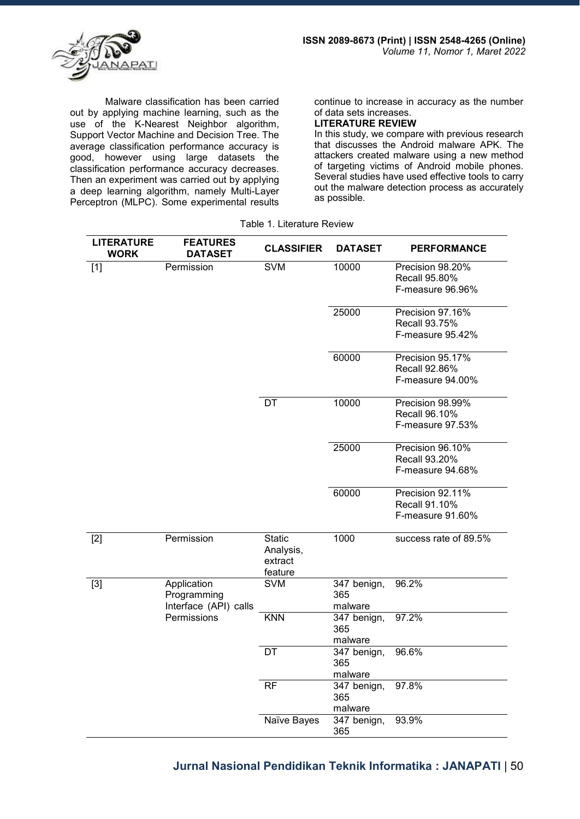

Malware classification has been carried out by applying machine learning, such as the use of the K-Nearest Neighbor algorithm, Support Vector Machine and Decision Tree. The average classification performance accuracy is good, however using large datasets the classification performance accuracy decreases. Then an experiment was carried out by applying a deep learning algorithm, namely Multi-Layer Perceptron (MLPC). Some experimental results

continue to increase in accuracy as the number of data sets increases.

# **LITERATURE REVIEW**

In this study, we compare with previous research that discusses the Android malware APK. The attackers created malware using a new method of targeting victims of Android mobile phones. Several studies have used effective tools to carry out the malware detection process as accurately as possible.

Table 1. Literature Review

| <b>LITERATURE</b><br><b>WORK</b> | <b>FEATURES</b><br><b>DATASET</b>                   | <b>CLASSIFIER</b>                                | <b>DATASET</b>                | <b>PERFORMANCE</b>                                    |
|----------------------------------|-----------------------------------------------------|--------------------------------------------------|-------------------------------|-------------------------------------------------------|
| $[1]$                            | Permission                                          | <b>SVM</b>                                       | 10000                         | Precision 98.20%<br>Recall 95.80%<br>F-measure 96.96% |
|                                  |                                                     |                                                  | 25000                         | Precision 97.16%<br>Recall 93.75%<br>F-measure 95.42% |
|                                  |                                                     |                                                  | 60000                         | Precision 95.17%<br>Recall 92.86%<br>F-measure 94.00% |
|                                  |                                                     | DT                                               | 10000                         | Precision 98.99%<br>Recall 96.10%<br>F-measure 97.53% |
|                                  |                                                     |                                                  | 25000                         | Precision 96.10%<br>Recall 93.20%<br>F-measure 94.68% |
|                                  |                                                     |                                                  | 60000                         | Precision 92.11%<br>Recall 91.10%<br>F-measure 91.60% |
| $[2]$                            | Permission                                          | <b>Static</b><br>Analysis,<br>extract<br>feature | 1000                          | success rate of 89.5%                                 |
| $[3]$                            | Application<br>Programming<br>Interface (API) calls | <b>SVM</b>                                       | 347 benign,<br>365<br>malware | 96.2%                                                 |
|                                  | Permissions                                         | <b>KNN</b>                                       | 347 benign,<br>365<br>malware | 97.2%                                                 |
|                                  |                                                     | DT                                               | 347 benign,<br>365<br>malware | 96.6%                                                 |
|                                  |                                                     | <b>RF</b>                                        | 347 benign,<br>365<br>malware | 97.8%                                                 |
|                                  |                                                     | Naïve Bayes                                      | 347 benign,<br>365            | 93.9%                                                 |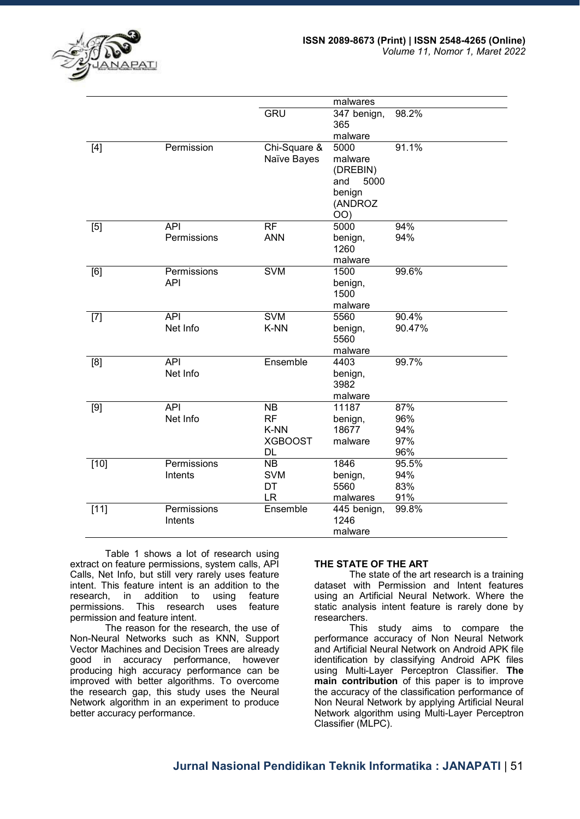

|        |             |                | malwares        |        |
|--------|-------------|----------------|-----------------|--------|
|        |             | GRU            | 347 benign,     | 98.2%  |
|        |             |                | 365             |        |
|        |             |                | malware         |        |
| $[4]$  | Permission  | Chi-Square &   | 5000            | 91.1%  |
|        |             | Naïve Bayes    | malware         |        |
|        |             |                | (DREBIN)        |        |
|        |             |                | 5000<br>and     |        |
|        |             |                | benign          |        |
|        |             |                | (ANDROZ         |        |
| [5]    | <b>API</b>  | <b>RF</b>      | OO)<br>5000     | 94%    |
|        | Permissions | <b>ANN</b>     | benign,         | 94%    |
|        |             |                | 1260            |        |
|        |             |                | malware         |        |
| [6]    | Permissions | <b>SVM</b>     | 1500            | 99.6%  |
|        | <b>API</b>  |                | benign,         |        |
|        |             |                | 1500            |        |
|        |             |                | malware         |        |
| $[7]$  | API         | <b>SVM</b>     | 5560            | 90.4%  |
|        | Net Info    | K-NN           | benign,         | 90.47% |
|        |             |                | 5560            |        |
|        |             |                | malware         |        |
| [8]    | API         | Ensemble       | 4403            | 99.7%  |
|        | Net Info    |                | benign,<br>3982 |        |
|        |             |                | malware         |        |
| $[9]$  | <b>API</b>  | <b>NB</b>      | 11187           | 87%    |
|        | Net Info    | <b>RF</b>      | benign,         | 96%    |
|        |             | K-NN           | 18677           | 94%    |
|        |             | <b>XGBOOST</b> | malware         | 97%    |
|        |             | DL             |                 | 96%    |
| $[10]$ | Permissions | <b>NB</b>      | 1846            | 95.5%  |
|        | Intents     | <b>SVM</b>     | benign,         | 94%    |
|        |             | DT             | 5560            | 83%    |
|        |             | <b>LR</b>      | malwares        | 91%    |
| $[11]$ | Permissions | Ensemble       | 445 benign,     | 99.8%  |
|        | Intents     |                | 1246            |        |
|        |             |                | malware         |        |

 Table 1 shows a lot of research using extract on feature permissions, system calls, API Calls, Net Info, but still very rarely uses feature intent. This feature intent is an addition to the research, in addition to using feature permissions. This research uses feature permission and feature intent.

 The reason for the research, the use of Non-Neural Networks such as KNN, Support Vector Machines and Decision Trees are already good in accuracy performance, however producing high accuracy performance can be improved with better algorithms. To overcome the research gap, this study uses the Neural Network algorithm in an experiment to produce better accuracy performance.

#### **THE STATE OF THE ART**

 The state of the art research is a training dataset with Permission and Intent features using an Artificial Neural Network. Where the static analysis intent feature is rarely done by researchers.

 This study aims to compare the performance accuracy of Non Neural Network and Artificial Neural Network on Android APK file identification by classifying Android APK files using Multi-Layer Perceptron Classifier. **The main contribution** of this paper is to improve the accuracy of the classification performance of Non Neural Network by applying Artificial Neural Network algorithm using Multi-Layer Perceptron Classifier (MLPC).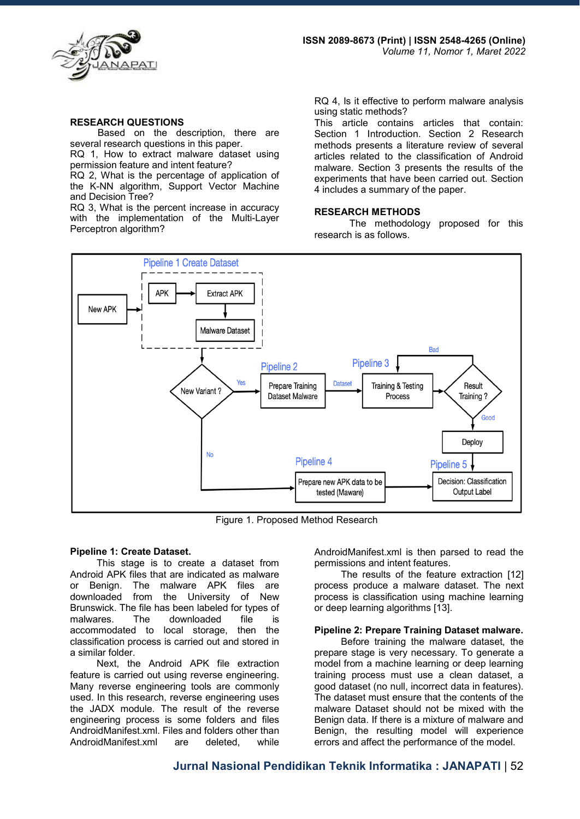

#### **RESEARCH QUESTIONS**

Based on the description, there are several research questions in this paper.

RQ 1, How to extract malware dataset using permission feature and intent feature?

RQ 2, What is the percentage of application of the K-NN algorithm, Support Vector Machine and Decision Tree?

RQ 3, What is the percent increase in accuracy with the implementation of the Multi-Layer Perceptron algorithm?

RQ 4, Is it effective to perform malware analysis using static methods?

This article contains articles that contain: Section 1 Introduction. Section 2 Research methods presents a literature review of several articles related to the classification of Android malware. Section 3 presents the results of the experiments that have been carried out. Section 4 includes a summary of the paper.

#### **RESEARCH METHODS**

The methodology proposed for this research is as follows.



Figure 1. Proposed Method Research

#### **Pipeline 1: Create Dataset.**

This stage is to create a dataset from Android APK files that are indicated as malware or Benign. The malware APK files are downloaded from the University of New Brunswick. The file has been labeled for types of malwares. The downloaded file is accommodated to local storage, then the classification process is carried out and stored in a similar folder.

Next, the Android APK file extraction feature is carried out using reverse engineering. Many reverse engineering tools are commonly used. In this research, reverse engineering uses the JADX module. The result of the reverse engineering process is some folders and files AndroidManifest.xml. Files and folders other than AndroidManifest.xml are deleted, while

AndroidManifest.xml is then parsed to read the permissions and intent features.

The results of the feature extraction [12] process produce a malware dataset. The next process is classification using machine learning or deep learning algorithms [13].

#### **Pipeline 2: Prepare Training Dataset malware.**

Before training the malware dataset, the prepare stage is very necessary. To generate a model from a machine learning or deep learning training process must use a clean dataset, a good dataset (no null, incorrect data in features). The dataset must ensure that the contents of the malware Dataset should not be mixed with the Benign data. If there is a mixture of malware and Benign, the resulting model will experience errors and affect the performance of the model.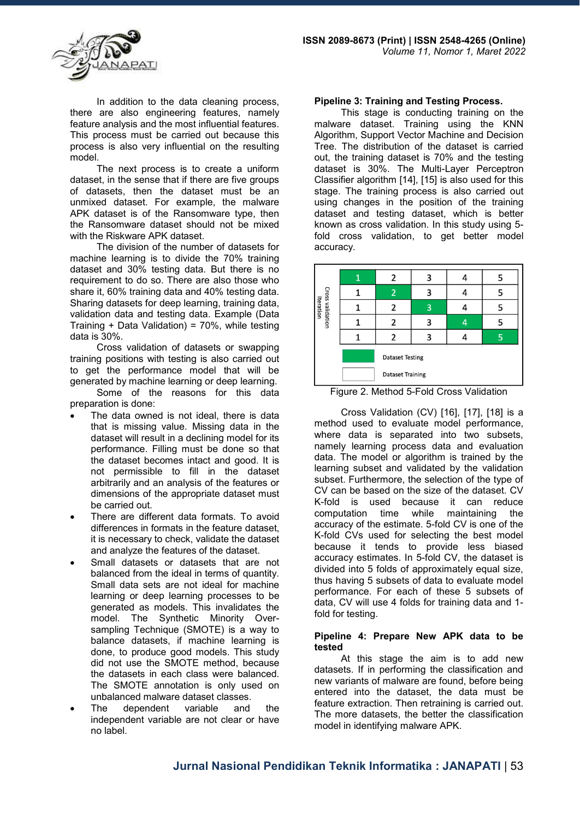

In addition to the data cleaning process, there are also engineering features, namely feature analysis and the most influential features. This process must be carried out because this process is also very influential on the resulting model.

The next process is to create a uniform dataset, in the sense that if there are five groups of datasets, then the dataset must be an unmixed dataset. For example, the malware APK dataset is of the Ransomware type, then the Ransomware dataset should not be mixed with the Riskware APK dataset.

The division of the number of datasets for machine learning is to divide the 70% training dataset and 30% testing data. But there is no requirement to do so. There are also those who share it, 60% training data and 40% testing data. Sharing datasets for deep learning, training data, validation data and testing data. Example (Data Training + Data Validation) = 70%, while testing data is 30%.

Cross validation of datasets or swapping training positions with testing is also carried out to get the performance model that will be generated by machine learning or deep learning.

Some of the reasons for this data preparation is done:

- The data owned is not ideal, there is data that is missing value. Missing data in the dataset will result in a declining model for its performance. Filling must be done so that the dataset becomes intact and good. It is not permissible to fill in the dataset arbitrarily and an analysis of the features or dimensions of the appropriate dataset must be carried out.
- There are different data formats. To avoid differences in formats in the feature dataset, it is necessary to check, validate the dataset and analyze the features of the dataset.
- Small datasets or datasets that are not balanced from the ideal in terms of quantity. Small data sets are not ideal for machine learning or deep learning processes to be generated as models. This invalidates the model. The Synthetic Minority Oversampling Technique (SMOTE) is a way to balance datasets, if machine learning is done, to produce good models. This study did not use the SMOTE method, because the datasets in each class were balanced. The SMOTE annotation is only used on unbalanced malware dataset classes.
- The dependent variable and the independent variable are not clear or have no label.

#### **Pipeline 3: Training and Testing Process.**

This stage is conducting training on the malware dataset. Training using the KNN Algorithm, Support Vector Machine and Decision Tree. The distribution of the dataset is carried out, the training dataset is 70% and the testing dataset is 30%. The Multi-Layer Perceptron Classifier algorithm [14], [15] is also used for this stage. The training process is also carried out using changes in the position of the training dataset and testing dataset, which is better known as cross validation. In this study using 5 fold cross validation, to get better model accuracy.



Figure 2. Method 5-Fold Cross Validation

Cross Validation (CV) [16], [17], [18] is a method used to evaluate model performance, where data is separated into two subsets, namely learning process data and evaluation data. The model or algorithm is trained by the learning subset and validated by the validation subset. Furthermore, the selection of the type of CV can be based on the size of the dataset. CV K-fold is used because it can reduce computation time while maintaining the accuracy of the estimate. 5-fold CV is one of the K-fold CVs used for selecting the best model because it tends to provide less biased accuracy estimates. In 5-fold CV, the dataset is divided into 5 folds of approximately equal size, thus having 5 subsets of data to evaluate model performance. For each of these 5 subsets of data, CV will use 4 folds for training data and 1 fold for testing.

#### **Pipeline 4: Prepare New APK data to be tested**

At this stage the aim is to add new datasets. If in performing the classification and new variants of malware are found, before being entered into the dataset, the data must be feature extraction. Then retraining is carried out. The more datasets, the better the classification model in identifying malware APK.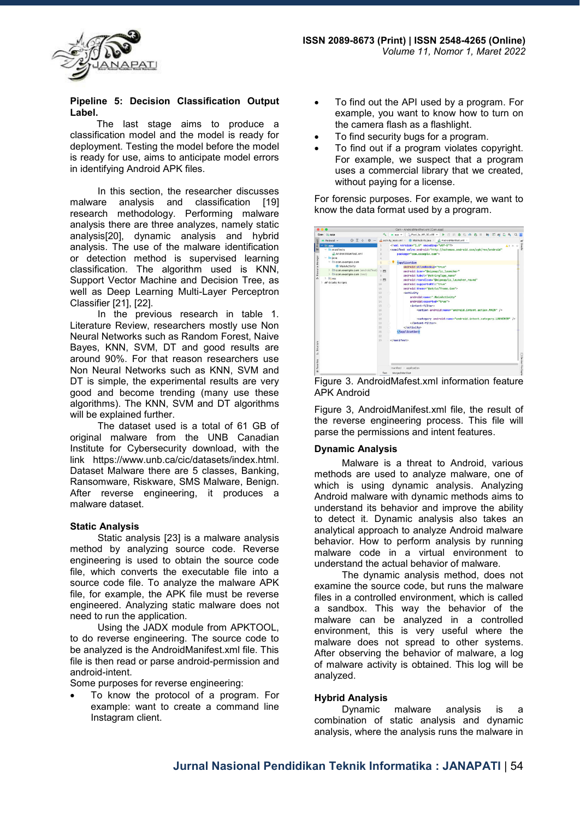

### **Pipeline 5: Decision Classification Output Label.**

The last stage aims to produce a classification model and the model is ready for deployment. Testing the model before the model is ready for use, aims to anticipate model errors in identifying Android APK files.

In this section, the researcher discusses malware analysis and classification [19] research methodology. Performing malware analysis there are three analyzes, namely static analysis[20], dynamic analysis and hybrid analysis. The use of the malware identification or detection method is supervised learning classification. The algorithm used is KNN, Support Vector Machine and Decision Tree, as well as Deep Learning Multi-Layer Perceptron Classifier [21], [22].

In the previous research in table 1. Literature Review, researchers mostly use Non Neural Networks such as Random Forest, Naive Bayes, KNN, SVM, DT and good results are around 90%. For that reason researchers use Non Neural Networks such as KNN, SVM and DT is simple, the experimental results are very good and become trending (many use these algorithms). The KNN, SVM and DT algorithms will be explained further.

The dataset used is a total of 61 GB of original malware from the UNB Canadian Institute for Cybersecurity download, with the link https://www.unb.ca/cic/datasets/index.html. Dataset Malware there are 5 classes, Banking, Ransomware, Riskware, SMS Malware, Benign. After reverse engineering, it produces a malware dataset.

## **Static Analysis**

Static analysis [23] is a malware analysis method by analyzing source code. Reverse engineering is used to obtain the source code file, which converts the executable file into a source code file. To analyze the malware APK file, for example, the APK file must be reverse engineered. Analyzing static malware does not need to run the application.

Using the JADX module from APKTOOL, to do reverse engineering. The source code to be analyzed is the AndroidManifest.xml file. This file is then read or parse android-permission and android-intent.

Some purposes for reverse engineering:

 To know the protocol of a program. For example: want to create a command line Instagram client.

- To find out the API used by a program. For example, you want to know how to turn on the camera flash as a flashlight.
- To find security bugs for a program.
- To find out if a program violates copyright. For example, we suspect that a program uses a commercial library that we created, without paying for a license.

For forensic purposes. For example, we want to know the data format used by a program.



Figure 3. AndroidMafest.xml information feature APK Android

Figure 3, AndroidManifest.xml file, the result of the reverse engineering process. This file will parse the permissions and intent features.

## **Dynamic Analysis**

Malware is a threat to Android, various methods are used to analyze malware, one of which is using dynamic analysis. Analyzing Android malware with dynamic methods aims to understand its behavior and improve the ability to detect it. Dynamic analysis also takes an analytical approach to analyze Android malware behavior. How to perform analysis by running malware code in a virtual environment to understand the actual behavior of malware.

The dynamic analysis method, does not examine the source code, but runs the malware files in a controlled environment, which is called a sandbox. This way the behavior of the malware can be analyzed in a controlled environment, this is very useful where the malware does not spread to other systems. After observing the behavior of malware, a log of malware activity is obtained. This log will be analyzed.

## **Hybrid Analysis**

Dynamic malware analysis is a combination of static analysis and dynamic analysis, where the analysis runs the malware in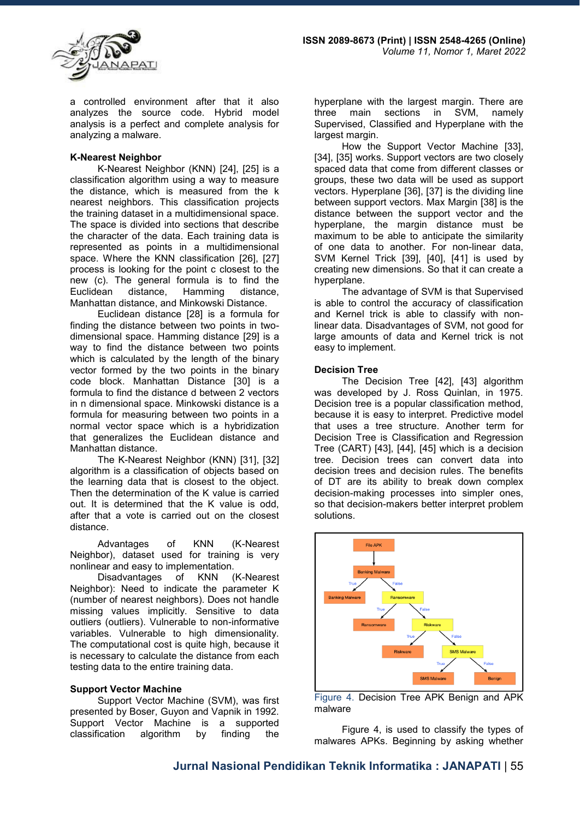

a controlled environment after that it also analyzes the source code. Hybrid model analysis is a perfect and complete analysis for analyzing a malware.

## **K-Nearest Neighbor**

K-Nearest Neighbor (KNN) [24], [25] is a classification algorithm using a way to measure the distance, which is measured from the k nearest neighbors. This classification projects the training dataset in a multidimensional space. The space is divided into sections that describe the character of the data. Each training data is represented as points in a multidimensional space. Where the KNN classification [26], [27] process is looking for the point c closest to the new (c). The general formula is to find the Euclidean distance, Hamming distance, Manhattan distance, and Minkowski Distance.

Euclidean distance [28] is a formula for finding the distance between two points in twodimensional space. Hamming distance [29] is a way to find the distance between two points which is calculated by the length of the binary vector formed by the two points in the binary code block. Manhattan Distance [30] is a formula to find the distance d between 2 vectors in n dimensional space. Minkowski distance is a formula for measuring between two points in a normal vector space which is a hybridization that generalizes the Euclidean distance and Manhattan distance.

The K-Nearest Neighbor (KNN) [31], [32] algorithm is a classification of objects based on the learning data that is closest to the object. Then the determination of the K value is carried out. It is determined that the K value is odd, after that a vote is carried out on the closest distance.

Advantages of KNN (K-Nearest Neighbor), dataset used for training is very nonlinear and easy to implementation.

Disadvantages of KNN (K-Nearest Neighbor): Need to indicate the parameter K (number of nearest neighbors). Does not handle missing values implicitly. Sensitive to data outliers (outliers). Vulnerable to non-informative variables. Vulnerable to high dimensionality. The computational cost is quite high, because it is necessary to calculate the distance from each testing data to the entire training data.

## **Support Vector Machine**

Support Vector Machine (SVM), was first presented by Boser, Guyon and Vapnik in 1992. Support Vector Machine is a supported classification algorithm by finding the

hyperplane with the largest margin. There are<br>three main sections in SVM, namely main sections in SVM, namely Supervised, Classified and Hyperplane with the largest margin.

How the Support Vector Machine [33], [34], [35] works. Support vectors are two closely spaced data that come from different classes or groups, these two data will be used as support vectors. Hyperplane [36], [37] is the dividing line between support vectors. Max Margin [38] is the distance between the support vector and the hyperplane, the margin distance must be maximum to be able to anticipate the similarity of one data to another. For non-linear data, SVM Kernel Trick [39], [40], [41] is used by creating new dimensions. So that it can create a hyperplane.

The advantage of SVM is that Supervised is able to control the accuracy of classification and Kernel trick is able to classify with nonlinear data. Disadvantages of SVM, not good for large amounts of data and Kernel trick is not easy to implement.

#### **Decision Tree**

The Decision Tree [42], [43] algorithm was developed by J. Ross Quinlan, in 1975. Decision tree is a popular classification method, because it is easy to interpret. Predictive model that uses a tree structure. Another term for Decision Tree is Classification and Regression Tree (CART) [43], [44], [45] which is a decision tree. Decision trees can convert data into decision trees and decision rules. The benefits of DT are its ability to break down complex decision-making processes into simpler ones, so that decision-makers better interpret problem solutions.



Figure 4. Decision Tree APK Benign and APK malware

Figure 4, is used to classify the types of malwares APKs. Beginning by asking whether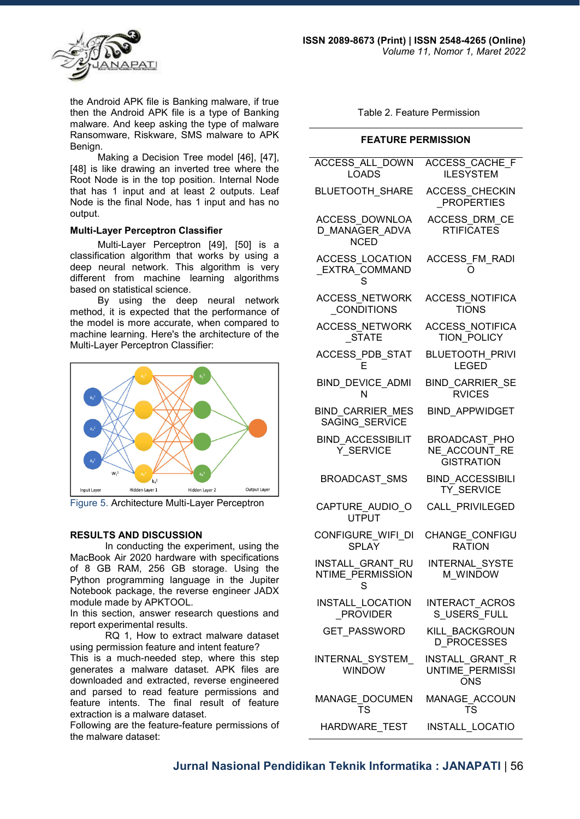

the Android APK file is Banking malware, if true then the Android APK file is a type of Banking malware. And keep asking the type of malware Ransomware, Riskware, SMS malware to APK Benign.

Making a Decision Tree model [46], [47], [48] is like drawing an inverted tree where the Root Node is in the top position. Internal Node that has 1 input and at least 2 outputs. Leaf Node is the final Node, has 1 input and has no output.

## **Multi-Layer Perceptron Classifier**

Multi-Layer Perceptron [49], [50] is a classification algorithm that works by using a deep neural network. This algorithm is very different from machine learning algorithms based on statistical science.

By using the deep neural network method, it is expected that the performance of the model is more accurate, when compared to machine learning. Here's the architecture of the Multi-Layer Perceptron Classifier:



Figure 5. Architecture Multi-Layer Perceptron

## **RESULTS AND DISCUSSION**

In conducting the experiment, using the MacBook Air 2020 hardware with specifications of 8 GB RAM, 256 GB storage. Using the Python programming language in the Jupiter Notebook package, the reverse engineer JADX module made by APKTOOL.

In this section, answer research questions and report experimental results.

RQ 1, How to extract malware dataset using permission feature and intent feature?

This is a much-needed step, where this step generates a malware dataset. APK files are downloaded and extracted, reverse engineered and parsed to read feature permissions and feature intents. The final result of feature extraction is a malware dataset.

Following are the feature-feature permissions of the malware dataset:

Table 2. Feature Permission

#### **FEATURE PERMISSION**

| <b>ACCESS ALL DOWN</b><br><b>LOADS</b>           | <b>ACCESS CACHE F</b><br><b>ILESYSTEM</b>                            |
|--------------------------------------------------|----------------------------------------------------------------------|
| <b>BLUETOOTH_SHARE</b>                           | <b>ACCESS CHECKIN</b><br><b>PROPERTIES</b>                           |
| ACCESS DOWNLOA<br>D MANAGER ADVA<br><b>NCED</b>  | <b>ACCESS DRM CE</b><br><b>RTIFICATES</b>                            |
| ACCESS_LOCATION<br>EXTRA_COMMAND<br>S.           | ACCESS_FM_RADI                                                       |
| <b>ACCESS NETWORK</b><br><b>CONDITIONS</b>       | <b>ACCESS NOTIFICA</b><br><b>TIONS</b>                               |
| <b>ACCESS NETWORK</b><br><b>STATE</b>            | <b>ACCESS NOTIFICA</b><br><b>TION POLICY</b>                         |
| ACCESS PDB STAT                                  | <b>BLUETOOTH PRIVI</b><br><b>LEGED</b>                               |
| BIND_DEVICE_ADMI<br>N                            | <b>BIND CARRIER SE</b><br><b>RVICES</b>                              |
| <b>BIND CARRIER MES</b><br>SAGING SERVICE        | <b>BIND APPWIDGET</b>                                                |
| <b>BIND ACCESSIBILIT</b><br>Y SERVICE            | <b>BROADCAST PHO</b><br>NE ACCOUNT RE<br><b>GISTRATION</b>           |
| <b>BROADCAST SMS</b>                             | <b>BIND ACCESSIBILI</b><br><b>TY SERVICE</b>                         |
| CAPTURE AUDIO O<br><b>UTPUT</b>                  | <b>CALL PRIVILEGED</b>                                               |
| CONFIGURE WIFI DI<br><b>SPLAY</b>                | <b>CHANGE CONFIGU</b><br><b>RATION</b>                               |
| <b>INSTALL GRANT RU</b><br>NTIME_PERMISSION<br>S | <b>INTERNAL SYSTE</b><br>M WINDOW                                    |
| INSTALL_LOCATION<br><b>PROVIDER</b>              | INTERACT_ACROS<br>S USERS FULL                                       |
| GET PASSWORD                                     | KILL BACKGROUN<br><b>D PROCESSES</b>                                 |
| INTERNAL SYSTEM<br><b>WINDOW</b>                 | <b>INSTALL GRANT R</b><br>UNTIME <sup>T</sup> PERMISSI<br><b>ONS</b> |
| TS                                               | TS                                                                   |
| HARDWARE TEST                                    | <b>INSTALL LOCATIO</b>                                               |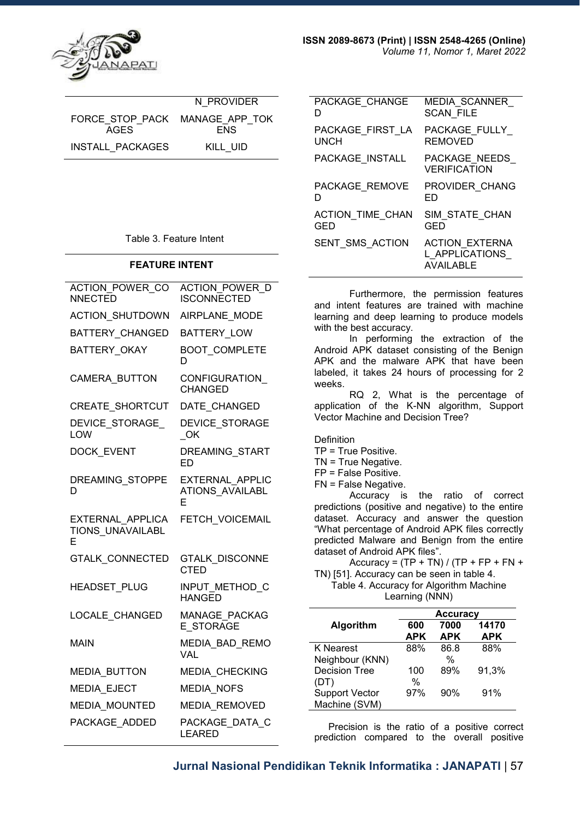

|                                | N PROVIDER |
|--------------------------------|------------|
| FORCE STOP PACK MANAGE APP TOK |            |
| AGES                           | <b>FNS</b> |
| <b>INSTALL PACKAGES</b>        | KILL UID   |

Table 3. Feature Intent

#### **FEATURE INTENT**

| ACTION POWER CO<br><b>NNECTED</b>                | ACTION POWER D<br><b>ISCONNECTED</b>                  |
|--------------------------------------------------|-------------------------------------------------------|
| ACTION_SHUTDOWN                                  | AIRPLANE MODE                                         |
| <b>BATTERY CHANGED</b>                           | <b>BATTERY LOW</b>                                    |
| <b>BATTERY OKAY</b>                              | <b>BOOT COMPLETE</b><br>D                             |
| <b>CAMERA BUTTON</b>                             | CONFIGURATION<br><b>CHANGED</b>                       |
| CREATE_SHORTCUT                                  | DATE_CHANGED                                          |
| <b>DEVICE STORAGE</b><br><b>LOW</b>              | <b>DEVICE STORAGE</b><br>OK                           |
| <b>DOCK EVENT</b>                                | <b>DREAMING START</b><br>FD                           |
| DREAMING STOPPE<br>D                             | <b>EXTERNAL APPLIC</b><br><b>ATIONS AVAILABL</b><br>F |
| EXTERNAL APPLICA<br><b>TIONS UNAVAILABL</b><br>E | FETCH VOICEMAIL                                       |
| <b>GTALK CONNECTED</b>                           | <b>GTALK_DISCONNE</b><br><b>CTED</b>                  |
| HEADSET_PLUG                                     | INPUT_METHOD_C<br><b>HANGED</b>                       |
| LOCALE CHANGED                                   | <b>MANAGE PACKAG</b><br>E STORAGE                     |
| <b>MAIN</b>                                      | MEDIA BAD REMO<br><b>VAL</b>                          |
| <b>MEDIA_BUTTON</b>                              | MEDIA_CHECKING                                        |
| <b>MEDIA EJECT</b>                               | <b>MEDIA_NOFS</b>                                     |
| MEDIA_MOUNTED                                    | MEDIA_REMOVED                                         |
| PACKAGE ADDED                                    | PACKAGE DATA C<br><b>LEARED</b>                       |
|                                                  |                                                       |

| PACKAGE CHANGE          | <b>MEDIA SCANNER</b>                                        |
|-------------------------|-------------------------------------------------------------|
| D                       | <b>SCAN FILE</b>                                            |
| PACKAGE FIRST LA        | PACKAGE FULLY                                               |
| UNCH                    | <b>REMOVED</b>                                              |
| PACKAGE INSTALL         | PACKAGE NEEDS<br><b>VERIFICATION</b>                        |
| PACKAGE REMOVE          | PROVIDER CHANG                                              |
| D                       | ED                                                          |
| <b>ACTION TIME CHAN</b> | SIM STATE CHAN                                              |
| GED                     | GED                                                         |
| SENT SMS ACTION         | <b>ACTION EXTERNA</b><br>L APPLICATIONS<br><b>AVAILABLE</b> |
|                         |                                                             |

Furthermore, the permission features and intent features are trained with machine learning and deep learning to produce models with the best accuracy.

In performing the extraction of the Android APK dataset consisting of the Benign APK and the malware APK that have been labeled, it takes 24 hours of processing for 2 weeks.

RQ 2, What is the percentage of application of the K-NN algorithm, Support Vector Machine and Decision Tree?

Definition

- TP = True Positive.
- TN = True Negative.
- FP = False Positive.
- FN = False Negative.

Accuracy is the ratio of correct predictions (positive and negative) to the entire dataset. Accuracy and answer the question "What percentage of Android APK files correctly predicted Malware and Benign from the entire dataset of Android APK files".

Accuracy =  $(TP + TN) / (TP + FP + FN +$ TN) [51]. Accuracy can be seen in table 4.

Table 4. Accuracy for Algorithm Machine Learning (NNN)

|                                        | <b>Accuracy</b>   |                    |                     |
|----------------------------------------|-------------------|--------------------|---------------------|
| Algorithm                              | 600<br><b>APK</b> | 7000<br><b>APK</b> | 14170<br><b>APK</b> |
| K Nearest                              | 88%               | 86.8               | 88%                 |
| Neighbour (KNN)                        |                   | $\frac{0}{0}$      |                     |
| <b>Decision Tree</b>                   | 100               | 89%                | 91,3%               |
| (DT)                                   | $\%$              |                    |                     |
| <b>Support Vector</b><br>Machine (SVM) | 97%               | 90%                | 91%                 |

 Precision is the ratio of a positive correct prediction compared to the overall positive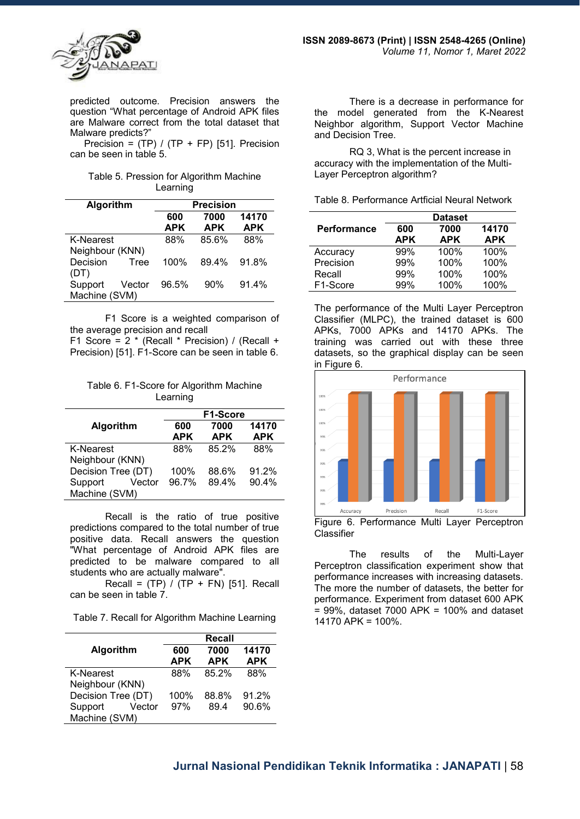

predicted outcome. Precision answers the question "What percentage of Android APK files are Malware correct from the total dataset that Malware predicts?"

Precision =  $(TP) / (TP + FP)$  [51]. Precision can be seen in table 5.

| Table 5. Pression for Algorithm Machine |  |
|-----------------------------------------|--|
| Learning                                |  |

| Algorithm        |        | <b>Precision</b> |            |            |
|------------------|--------|------------------|------------|------------|
|                  |        | 600              | 7000       | 14170      |
|                  |        | <b>APK</b>       | <b>APK</b> | <b>APK</b> |
| <b>K-Nearest</b> |        | 88%              | 85.6%      | 88%        |
| Neighbour (KNN)  |        |                  |            |            |
| Decision         | Tree   | 100%             | 89.4%      | 91.8%      |
| (DT)             |        |                  |            |            |
| Support          | Vector | 96.5%            | 90%        | 91.4%      |
| Machine (SVM)    |        |                  |            |            |

F1 Score is a weighted comparison of the average precision and recall F1 Score = 2 \* (Recall \* Precision) / (Recall +

Precision) [51]. F1-Score can be seen in table 6.

Table 6. F1-Score for Algorithm Machine Learning

|                    | F1-Score   |            |            |
|--------------------|------------|------------|------------|
| Algorithm          | 600        | 7000       | 14170      |
|                    | <b>APK</b> | <b>APK</b> | <b>APK</b> |
| <b>K-Nearest</b>   | 88%        | 85.2%      | 88%        |
| Neighbour (KNN)    |            |            |            |
| Decision Tree (DT) | 100%       | 88.6%      | 91.2%      |
| Support<br>Vector  | 96.7%      | 89.4%      | 90.4%      |
| Machine (SVM)      |            |            |            |

Recall is the ratio of true positive predictions compared to the total number of true positive data. Recall answers the question "What percentage of Android APK files are predicted to be malware compared to all students who are actually malware".

Recall =  $(TP) / (TP + FN)$  [51]. Recall can be seen in table 7.

Table 7. Recall for Algorithm Machine Learning

|                    |                   | <b>Recall</b>      |                     |
|--------------------|-------------------|--------------------|---------------------|
| Algorithm          | 600<br><b>APK</b> | 7000<br><b>APK</b> | 14170<br><b>APK</b> |
|                    |                   |                    |                     |
| K-Nearest          | 88%               | 85.2%              | 88%                 |
| Neighbour (KNN)    |                   |                    |                     |
| Decision Tree (DT) | 100%              | 88.8%              | 91.2%               |
| Support<br>Vector  | 97%               | 894                | 90.6%               |
| Machine (SVM)      |                   |                    |                     |

There is a decrease in performance for the model generated from the K-Nearest Neighbor algorithm, Support Vector Machine and Decision Tree.

RQ 3, What is the percent increase in accuracy with the implementation of the Multi-Layer Perceptron algorithm?

|                       | <b>Dataset</b> |            |            |
|-----------------------|----------------|------------|------------|
| <b>Performance</b>    | 600            | 7000       | 14170      |
|                       | APK            | <b>APK</b> | <b>APK</b> |
| Accuracy              | 99%            | 100%       | 100%       |
| Precision             | 99%            | 100%       | 100%       |
| Recall                | 99%            | 100%       | 100%       |
| F <sub>1</sub> -Score | 99%            | 100%       | 100%       |

The performance of the Multi Layer Perceptron Classifier (MLPC), the trained dataset is 600 APKs, 7000 APKs and 14170 APKs. The training was carried out with these three datasets, so the graphical display can be seen in Figure 6.



Figure 6. Performance Multi Layer Perceptron **Classifier** 

The results of the Multi-Layer Perceptron classification experiment show that performance increases with increasing datasets. The more the number of datasets, the better for performance. Experiment from dataset 600 APK  $= 99\%$ , dataset 7000 APK = 100% and dataset 14170 APK = 100%.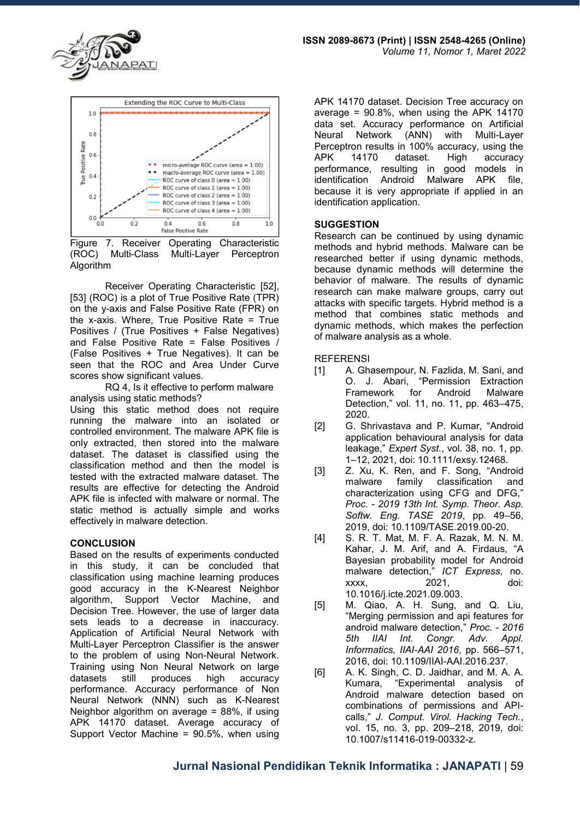



Figure 7. Receiver Operating Characteristic<br>(ROC) Multi-Class Multi-Layer Perceptron (ROC) Multi-Class Multi-Layer Perceptron Algorithm

Receiver Operating Characteristic [52], [53] (ROC) is a plot of True Positive Rate (TPR) on the y-axis and False Positive Rate (FPR) on the x-axis. Where, True Positive Rate = True Positives / (True Positives + False Negatives) and False Positive Rate = False Positives / (False Positives + True Negatives). It can be seen that the ROC and Area Under Curve scores show significant values.

RQ 4, Is it effective to perform malware analysis using static methods?

Using this static method does not require running the malware into an isolated or controlled environment. The malware APK file is only extracted, then stored into the malware dataset. The dataset is classified using the classification method and then the model is tested with the extracted malware dataset. The results are effective for detecting the Android APK file is infected with malware or normal. The static method is actually simple and works effectively in malware detection.

## **CONCLUSION**

Based on the results of experiments conducted in this study, it can be concluded that classification using machine learning produces good accuracy in the K-Nearest Neighbor algorithm, Support Vector Machine, and Decision Tree. However, the use of larger data sets leads to a decrease in inaccuracy. Application of Artificial Neural Network with Multi-Layer Perceptron Classifier is the answer to the problem of using Non-Neural Network. Training using Non Neural Network on large produces performance. Accuracy performance of Non Neural Network (NNN) such as K-Nearest Neighbor algorithm on average = 88%, if using APK 14170 dataset. Average accuracy of Support Vector Machine = 90.5%, when using

APK 14170 dataset. Decision Tree accuracy on average =  $90.8\%$ , when using the APK 14170 data set. Accuracy performance on Artificial Neural Network (ANN) with Multi-Layer Perceptron results in 100% accuracy, using the dataset. High accuracy performance, resulting in good models in identification Android Malware APK file, because it is very appropriate if applied in an identification application.

## **SUGGESTION**

Research can be continued by using dynamic methods and hybrid methods. Malware can be researched better if using dynamic methods, because dynamic methods will determine the behavior of malware. The results of dynamic research can make malware groups, carry out attacks with specific targets. Hybrid method is a method that combines static methods and dynamic methods, which makes the perfection of malware analysis as a whole.

## **REFERENSI**

- [1] A. Ghasempour, N. Fazlida, M. Sani, and O. J. Abari, "Permission Extraction Framework for Android Malware Detection," vol. 11, no. 11, pp. 463–475, 2020.
- [2] G. Shrivastava and P. Kumar, "Android application behavioural analysis for data leakage," *Expert Syst.*, vol. 38, no. 1, pp. 1–12, 2021, doi: 10.1111/exsy.12468.
- [3] Z. Xu, K. Ren, and F. Song, "Android malware family classification and characterization using CFG and DFG," *Proc. - 2019 13th Int. Symp. Theor. Asp. Softw. Eng. TASE 2019*, pp. 49–56, 2019, doi: 10.1109/TASE.2019.00-20.
- [4] S. R. T. Mat, M. F. A. Razak, M. N. M. Kahar, J. M. Arif, and A. Firdaus, "A Bayesian probability model for Android malware detection," *ICT Express*, no. xxxx, 2021, doi: 10.1016/j.icte.2021.09.003.
- [5] M. Qiao, A. H. Sung, and Q. Liu, "Merging permission and api features for android malware detection," *Proc. - 2016 5th IIAI Int. Congr. Adv. Appl. Informatics, IIAI-AAI 2016*, pp. 566–571, 2016, doi: 10.1109/IIAI-AAI.2016.237.
- [6] A. K. Singh, C. D. Jaidhar, and M. A. A.<br>Kumara, "Experimental analysis of "Experimental analysis of Android malware detection based on combinations of permissions and APIcalls," *J. Comput. Virol. Hacking Tech.*, vol. 15, no. 3, pp. 209–218, 2019, doi: 10.1007/s11416-019-00332-z.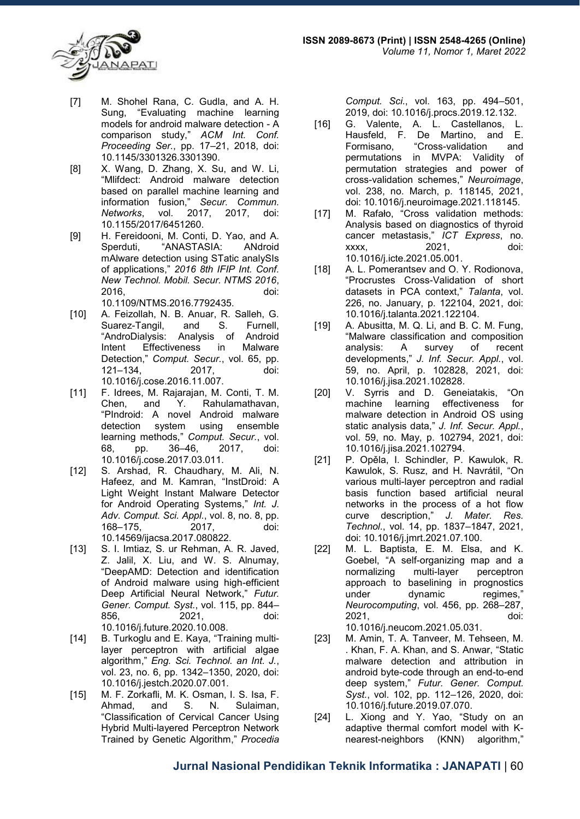

- [7] M. Shohel Rana, C. Gudla, and A. H. Sung, "Evaluating machine learning models for android malware detection - A comparison study," *ACM Int. Conf. Proceeding Ser.*, pp. 17–21, 2018, doi: 10.1145/3301326.3301390.
- [8] X. Wang, D. Zhang, X. Su, and W. Li, "Mlifdect: Android malware detection based on parallel machine learning and information fusion," *Secur. Commun. Networks*, vol. 2017, 2017, doi: 10.1155/2017/6451260.
- [9] H. Fereidooni, M. Conti, D. Yao, and A. Sperduti, "ANASTASIA: ANdroid mAlware detection using STatic analySIs of applications," *2016 8th IFIP Int. Conf. New Technol. Mobil. Secur. NTMS 2016*, 2016, doi: 10.1109/NTMS.2016.7792435.
- [10] A. Feizollah, N. B. Anuar, R. Salleh, G. Suarez-Tangil, and S. Furnell, "AndroDialysis: Analysis of Android Intent Effectiveness in Malware Detection," *Comput. Secur.*, vol. 65, pp. 121–134, 2017, doi: 10.1016/j.cose.2016.11.007.
- [11] F. Idrees, M. Rajarajan, M. Conti, T. M. Chen, and Y. Rahulamathavan, "PIndroid: A novel Android malware detection system using ensemble learning methods," *Comput. Secur.*, vol. 68, pp. 36–46, 2017, doi: 10.1016/j.cose.2017.03.011.
- [12] S. Arshad, R. Chaudhary, M. Ali, N. Hafeez, and M. Kamran, "InstDroid: A Light Weight Instant Malware Detector for Android Operating Systems," *Int. J. Adv. Comput. Sci. Appl.*, vol. 8, no. 8, pp. 168–175, 2017, doi: 10.14569/ijacsa.2017.080822.
- [13] S. I. Imtiaz, S. ur Rehman, A. R. Javed, Z. Jalil, X. Liu, and W. S. Alnumay, "DeepAMD: Detection and identification of Android malware using high-efficient Deep Artificial Neural Network," *Futur. Gener. Comput. Syst.*, vol. 115, pp. 844– 856, 2021, doi: 10.1016/j.future.2020.10.008.
- [14] B. Turkoglu and E. Kaya, "Training multilayer perceptron with artificial algae algorithm," *Eng. Sci. Technol. an Int. J.*, vol. 23, no. 6, pp. 1342–1350, 2020, doi: 10.1016/j.jestch.2020.07.001.
- [15] M. F. Zorkafli, M. K. Osman, I. S. Isa, F. Ahmad, and S. N. Sulaiman, "Classification of Cervical Cancer Using Hybrid Multi-layered Perceptron Network Trained by Genetic Algorithm," *Procedia*

*Comput. Sci.*, vol. 163, pp. 494–501, 2019, doi: 10.1016/j.procs.2019.12.132.

- [16] G. Valente, A. L. Castellanos, L. Hausfeld, F. De Martino, and E. Formisano, "Cross-validation and permutations in MVPA: Validity of permutation strategies and power of cross-validation schemes," *Neuroimage*, vol. 238, no. March, p. 118145, 2021, doi: 10.1016/j.neuroimage.2021.118145.
- [17] M. Rafało, "Cross validation methods: Analysis based on diagnostics of thyroid cancer metastasis," *ICT Express*, no. 2021, doi: 10.1016/j.icte.2021.05.001.
- [18] A. L. Pomerantsev and O. Y. Rodionova, "Procrustes Cross-Validation of short datasets in PCA context," *Talanta*, vol. 226, no. January, p. 122104, 2021, doi: 10.1016/j.talanta.2021.122104.
- [19] A. Abusitta, M. Q. Li, and B. C. M. Fung, "Malware classification and composition analysis: A survey of recent developments," *J. Inf. Secur. Appl.*, vol. 59, no. April, p. 102828, 2021, doi: 10.1016/j.jisa.2021.102828.
- [20] V. Syrris and D. Geneiatakis, "On machine learning effectiveness for malware detection in Android OS using static analysis data," *J. Inf. Secur. Appl.*, vol. 59, no. May, p. 102794, 2021, doi: 10.1016/j.jisa.2021.102794.
- [21] P. Opěla, I. Schindler, P. Kawulok, R. Kawulok, S. Rusz, and H. Navrátil, "On various multi-layer perceptron and radial basis function based artificial neural networks in the process of a hot flow curve description," *J. Mater. Res. Technol.*, vol. 14, pp. 1837–1847, 2021, doi: 10.1016/j.jmrt.2021.07.100.
- [22] M. L. Baptista, E. M. Elsa, and K. Goebel, "A self-organizing map and a normalizing multi-layer perceptron approach to baselining in prognostics under dynamic regimes," *Neurocomputing*, vol. 456, pp. 268–287, 2021, doi:

10.1016/j.neucom.2021.05.031.

- [23] M. Amin, T. A. Tanveer, M. Tehseen, M. . Khan, F. A. Khan, and S. Anwar, "Static malware detection and attribution in android byte-code through an end-to-end deep system," *Futur. Gener. Comput. Syst.*, vol. 102, pp. 112–126, 2020, doi: 10.1016/j.future.2019.07.070.
- [24] L. Xiong and Y. Yao, "Study on an adaptive thermal comfort model with Knearest-neighbors (KNN) algorithm,"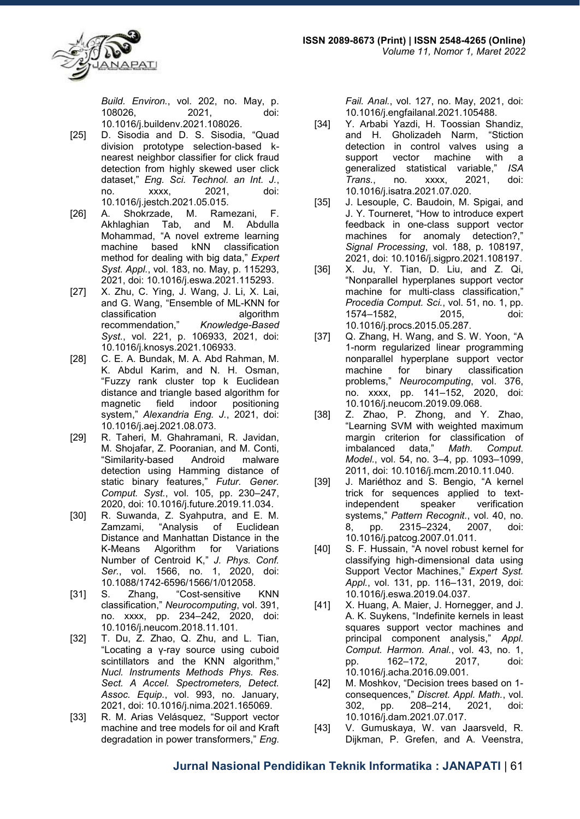

*Build. Environ.*, vol. 202, no. May, p. 108026, 2021, doi: 10.1016/j.buildenv.2021.108026.

- [25] D. Sisodia and D. S. Sisodia, "Quad division prototype selection-based knearest neighbor classifier for click fraud detection from highly skewed user click dataset," *Eng. Sci. Technol. an Int. J.*, no. xxxx, 2021, doi: 10.1016/j.jestch.2021.05.015.
- [26] A. Shokrzade, M. Ramezani, F. Akhlaghian Tab, and M. Abdulla Mohammad, "A novel extreme learning<br>machine based kNN classification machine based kNN method for dealing with big data," *Expert Syst. Appl.*, vol. 183, no. May, p. 115293, 2021, doi: 10.1016/j.eswa.2021.115293.
- [27] X. Zhu, C. Ying, J. Wang, J. Li, X. Lai, and G. Wang, "Ensemble of ML-KNN for classification algorithm recommendation," *Knowledge-Based Syst.*, vol. 221, p. 106933, 2021, doi: 10.1016/j.knosys.2021.106933.
- [28] C. E. A. Bundak, M. A. Abd Rahman, M. K. Abdul Karim, and N. H. Osman, "Fuzzy rank cluster top k Euclidean distance and triangle based algorithm for magnetic field indoor positioning system," *Alexandria Eng. J.*, 2021, doi: 10.1016/j.aej.2021.08.073.
- [29] R. Taheri, M. Ghahramani, R. Javidan, M. Shojafar, Z. Pooranian, and M. Conti, "Similarity-based Android malware detection using Hamming distance of static binary features," *Futur. Gener. Comput. Syst.*, vol. 105, pp. 230–247, 2020, doi: 10.1016/j.future.2019.11.034.
- [30] R. Suwanda, Z. Syahputra, and E. M. Zamzami, "Analysis of Euclidean Distance and Manhattan Distance in the K-Means Algorithm for Variations Number of Centroid K," *J. Phys. Conf. Ser.*, vol. 1566, no. 1, 2020, doi: 10.1088/1742-6596/1566/1/012058.
- [31] S. Zhang, "Cost-sensitive KNN classification," *Neurocomputing*, vol. 391, no. xxxx, pp. 234–242, 2020, doi: 10.1016/j.neucom.2018.11.101.
- [32] T. Du, Z. Zhao, Q. Zhu, and L. Tian, "Locating a γ-ray source using cuboid scintillators and the KNN algorithm," *Nucl. Instruments Methods Phys. Res. Sect. A Accel. Spectrometers, Detect. Assoc. Equip.*, vol. 993, no. January, 2021, doi: 10.1016/j.nima.2021.165069.
- [33] R. M. Arias Velásquez, "Support vector machine and tree models for oil and Kraft degradation in power transformers," *Eng.*

*Fail. Anal.*, vol. 127, no. May, 2021, doi: 10.1016/j.engfailanal.2021.105488.

- [34] Y. Arbabi Yazdi, H. Toossian Shandiz, and H. Gholizadeh Narm, "Stiction detection in control valves using a support vector machine with a generalized statistical variable," *ISA Trans.*, no. xxxx, 2021, doi: 10.1016/j.isatra.2021.07.020.
- [35] J. Lesouple, C. Baudoin, M. Spigai, and J. Y. Tourneret, "How to introduce expert feedback in one-class support vector machines for anomaly detection?," *Signal Processing*, vol. 188, p. 108197, 2021, doi: 10.1016/j.sigpro.2021.108197.
- [36] X. Ju, Y. Tian, D. Liu, and Z. Qi, "Nonparallel hyperplanes support vector machine for multi-class classification," *Procedia Comput. Sci.*, vol. 51, no. 1, pp. 1574–1582, 2015, doi: 10.1016/j.procs.2015.05.287.
- [37] Q. Zhang, H. Wang, and S. W. Yoon, "A 1-norm regularized linear programming nonparallel hyperplane support vector machine for binary classification problems," *Neurocomputing*, vol. 376, no. xxxx, pp. 141–152, 2020, doi: 10.1016/j.neucom.2019.09.068.
- [38] Z. Zhao, P. Zhong, and Y. Zhao, "Learning SVM with weighted maximum margin criterion for classification of<br>imbalanced data," Math. Comput. imbalanced data," *Math. Comput. Model.*, vol. 54, no. 3–4, pp. 1093–1099, 2011, doi: 10.1016/j.mcm.2010.11.040.
- [39] J. Mariéthoz and S. Bengio, "A kernel trick for sequences applied to textindependent speaker verification systems," *Pattern Recognit.*, vol. 40, no. 8, pp. 2315–2324, 2007, doi: 10.1016/j.patcog.2007.01.011.
- [40] S. F. Hussain, "A novel robust kernel for classifying high-dimensional data using Support Vector Machines," *Expert Syst. Appl.*, vol. 131, pp. 116–131, 2019, doi: 10.1016/j.eswa.2019.04.037.
- [41] X. Huang, A. Maier, J. Hornegger, and J. A. K. Suykens, "Indefinite kernels in least squares support vector machines and principal component analysis," *Appl. Comput. Harmon. Anal.*, vol. 43, no. 1, pp. 162–172, 2017, doi: 10.1016/j.acha.2016.09.001.
- [42] M. Moshkov, "Decision trees based on 1 consequences," *Discret. Appl. Math.*, vol. 302, pp. 208–214, 2021, doi: 10.1016/j.dam.2021.07.017.
- [43] V. Gumuskaya, W. van Jaarsveld, R. Dijkman, P. Grefen, and A. Veenstra,